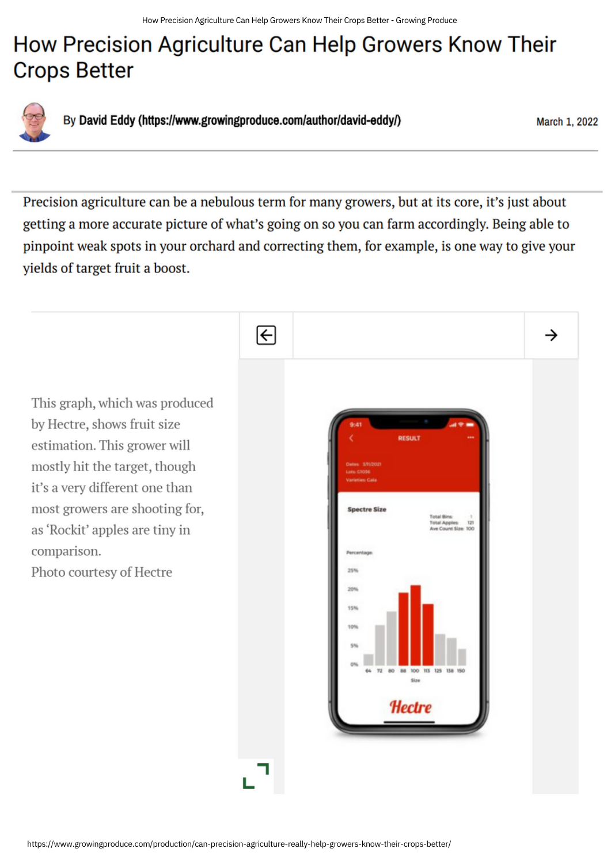## How Precision Agriculture Can Help Growers Know Their **Crops Better**



By David Eddy (https://www.growingproduce.com/author/david-eddy/)

March 1, 2022

Precision agriculture can be a nebulous term for many growers, but at its core, it's just about getting a more accurate picture of what's going on so you can farm accordingly. Being able to pinpoint weak spots in your orchard and correcting them, for example, is one way to give your yields of target fruit a boost.

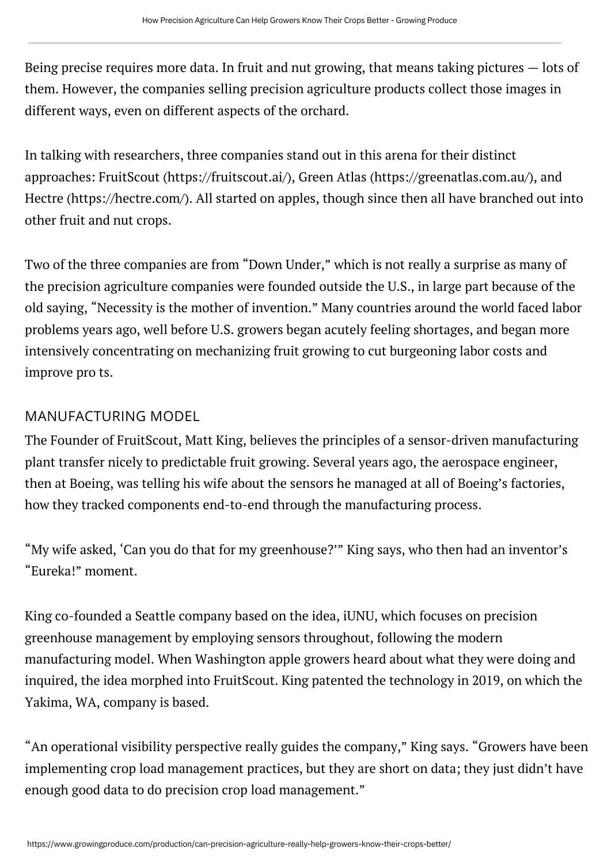Being precise requires more data. In fruit and nut growing, that means taking pictures — lots of them. However, the companies selling precision agriculture products collect those images in different ways, even on different aspects of the orchard.

In talking with researchers, three companies stand out in this arena for their distinct approaches: FruitScout [\(https://fruitscout.ai/\),](https://fruitscout.ai/) Green Atlas [\(https://greenatlas.com.au/\)](https://greenatlas.com.au/), and Hectre [\(https://hectre.com/\).](https://hectre.com/) All started on apples, though since then all have branched out into other fruit and nut crops.

Two of the three companies are from "Down Under," which is not really a surprise as many of the precision agriculture companies were founded outside the U.S., in large part because of the old saying, "Necessity is the mother of invention." Many countries around the world faced labor problems years ago, well before U.S. growers began acutely feeling shortages, and began more intensively concentrating on mechanizing fruit growing to cut burgeoning labor costs and improve pro ts.

## MANUFACTURING MODEL

The Founder of FruitScout, Matt King, believes the principles of a sensor-driven manufacturing plant transfer nicely to predictable fruit growing. Several years ago, the aerospace engineer, then at Boeing, was telling his wife about the sensors he managed at all of Boeing's factories, how they tracked components end-to-end through the manufacturing process.

"My wife asked, 'Can you do that for my greenhouse?'" King says, who then had an inventor's "Eureka!" moment.

King co-founded a Seattle company based on the idea, iUNU, which focuses on precision greenhouse management by employing sensors throughout, following the modern manufacturing model. When Washington apple growers heard about what they were doing and inquired, the idea morphed into FruitScout. King patented the technology in 2019, on which the Yakima, WA, company is based.

"An operational visibility perspective really guides the company," King says. "Growers have been implementing crop load management practices, but they are short on data; they just didn't have enough good data to do precision crop load management."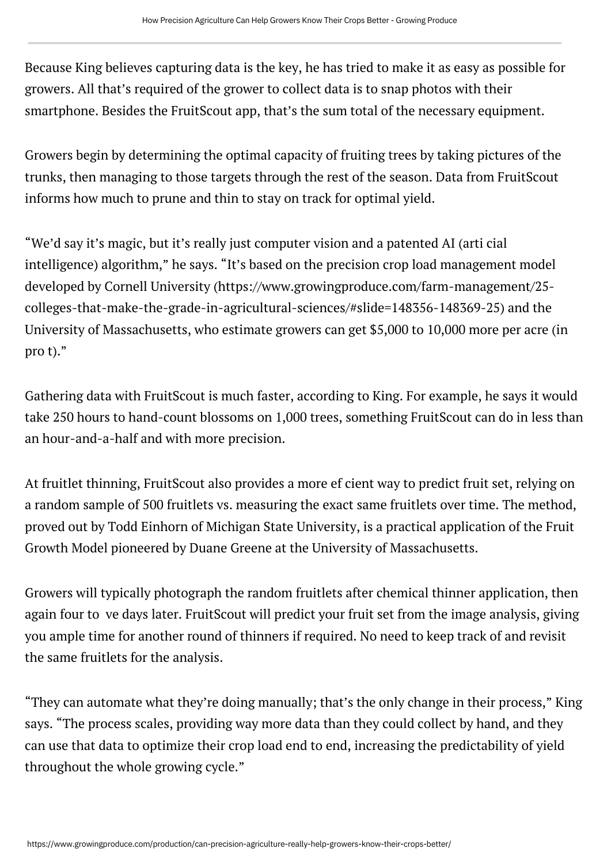Because King believes capturing data is the key, he has tried to make it as easy as possible for growers. All that's required of the grower to collect data is to snap photos with their smartphone. Besides the FruitScout app, that's the sum total of the necessary equipment.

Growers begin by determining the optimal capacity of fruiting trees by taking pictures of the trunks, then managing to those targets through the rest of the season. Data from FruitScout informs how much to prune and thin to stay on track for optimal yield.

"We'd say it's magic, but it's really just computer vision and a patented AI (arti cial intelligence) algorithm," he says. "It's based on the precision crop load management model developed by Cornell University [\(https://www.growingproduce.com/farm-management/25](https://www.growingproduce.com/farm-management/25-colleges-that-make-the-grade-in-agricultural-sciences/#slide=148356-148369-25) [colleges-that-make-the-grade-in-agricultural-sciences/#slide=148356-148369-25\)](https://www.growingproduce.com/farm-management/25-colleges-that-make-the-grade-in-agricultural-sciences/#slide=148356-148369-25) and the University of Massachusetts, who estimate growers can get \$5,000 to 10,000 more per acre (in pro t)."

Gathering data with FruitScout is much faster, according to King. For example, he says it would take 250 hours to hand-count blossoms on 1,000 trees, something FruitScout can do in less than an hour-and-a-half and with more precision.

At fruitlet thinning, FruitScout also provides a more ef cient way to predict fruit set, relying on a random sample of 500 fruitlets vs. measuring the exact same fruitlets over time. The method, proved out by Todd Einhorn of Michigan State University, is a practical application of the Fruit Growth Model pioneered by Duane Greene at the University of Massachusetts.

Growers will typically photograph the random fruitlets after chemical thinner application, then again four to ve days later. FruitScout will predict your fruit set from the image analysis, giving you ample time for another round of thinners if required. No need to keep track of and revisit the same fruitlets for the analysis.

"They can automate what they're doing manually; that's the only change in their process," King says. "The process scales, providing way more data than they could collect by hand, and they can use that data to optimize their crop load end to end, increasing the predictability of yield throughout the whole growing cycle."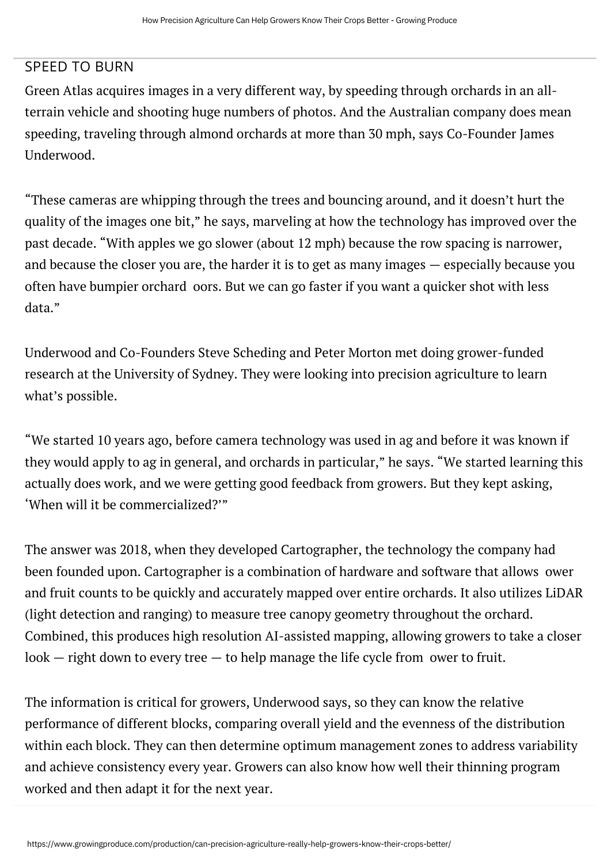## SPEED TO BURN

Green Atlas acquires images in a very different way, by speeding through orchards in an allterrain vehicle and shooting huge numbers of photos. And the Australian company does mean speeding, traveling through almond orchards at more than 30 mph, says Co-Founder James Underwood.

"These cameras are whipping through the trees and bouncing around, and it doesn't hurt the quality of the images one bit," he says, marveling at how the technology has improved over the past decade. "With apples we go slower (about 12 mph) because the row spacing is narrower, and because the closer you are, the harder it is to get as many images — especially because you often have bumpier orchard oors. But we can go faster if you want a quicker shot with less data."

Underwood and Co-Founders Steve Scheding and Peter Morton met doing grower-funded research at the University of Sydney. They were looking into precision agriculture to learn what's possible.

"We started 10 years ago, before camera technology was used in ag and before it was known if they would apply to ag in general, and orchards in particular," he says. "We started learning this actually does work, and we were getting good feedback from growers. But they kept asking, 'When will it be commercialized?'"

The answer was 2018, when they developed Cartographer, the technology the company had been founded upon. Cartographer is a combination of hardware and software that allows ower and fruit counts to be quickly and accurately mapped over entire orchards. It also utilizes LiDAR (light detection and ranging) to measure tree canopy geometry throughout the orchard. Combined, this produces high resolution AI-assisted mapping, allowing growers to take a closer  $look$  - right down to every tree  $-$  to help manage the life cycle from ower to fruit.

The information is critical for growers, Underwood says, so they can know the relative performance of different blocks, comparing overall yield and the evenness of the distribution within each block. They can then determine optimum management zones to address variability and achieve consistency every year. Growers can also know how well their thinning program worked and then adapt it for the next year.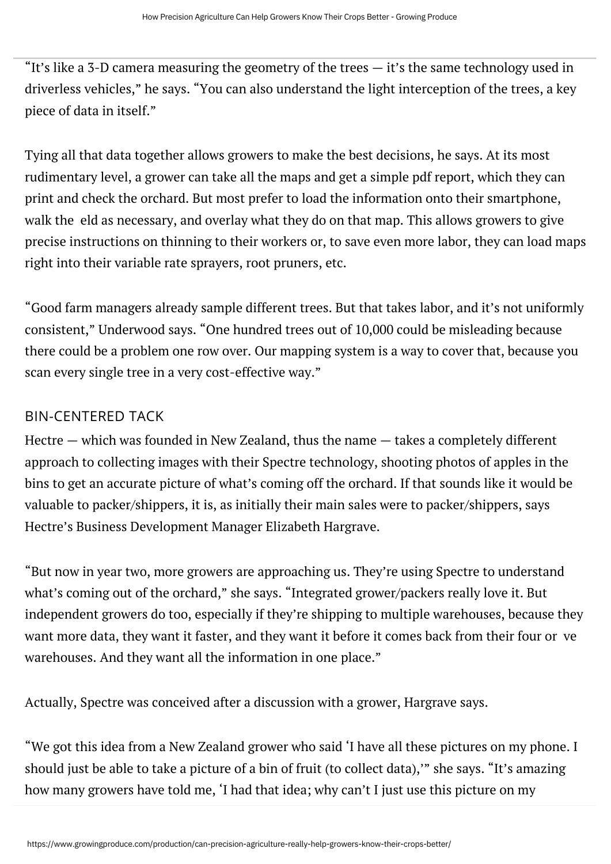"It's like a 3-D camera measuring the geometry of the trees  $-$  it's the same technology used in driverless vehicles," he says. "You can also understand the light interception of the trees, a key piece of data in itself."

Tying all that data together allows growers to make the best decisions, he says. At its most rudimentary level, a grower can take all the maps and get a simple pdf report, which they can print and check the orchard. But most prefer to load the information onto their smartphone, walk the eld as necessary, and overlay what they do on that map. This allows growers to give precise instructions on thinning to their workers or, to save even more labor, they can load maps right into their variable rate sprayers, root pruners, etc.

"Good farm managers already sample different trees. But that takes labor, and it's not uniformly consistent," Underwood says. "One hundred trees out of 10,000 could be misleading because there could be a problem one row over. Our mapping system is a way to cover that, because you scan every single tree in a very cost-effective way."

## BIN-CENTERED TACK

Hectre — which was founded in New Zealand, thus the name — takes a completely different approach to collecting images with their Spectre technology, shooting photos of apples in the bins to get an accurate picture of what's coming off the orchard. If that sounds like it would be valuable to packer/shippers, it is, as initially their main sales were to packer/shippers, says Hectre's Business Development Manager Elizabeth Hargrave.

"But now in year two, more growers are approaching us. They're using Spectre to understand what's coming out of the orchard," she says. "Integrated grower/packers really love it. But independent growers do too, especially if they're shipping to multiple warehouses, because they want more data, they want it faster, and they want it before it comes back from their four or ve warehouses. And they want all the information in one place."

Actually, Spectre was conceived after a discussion with a grower, Hargrave says.

"We got this idea from a New Zealand grower who said 'I have all these pictures on my phone. I should just be able to take a picture of a bin of fruit (to collect data),'" she says. "It's amazing how many growers have told me, 'I had that idea; why can't I just use this picture on my